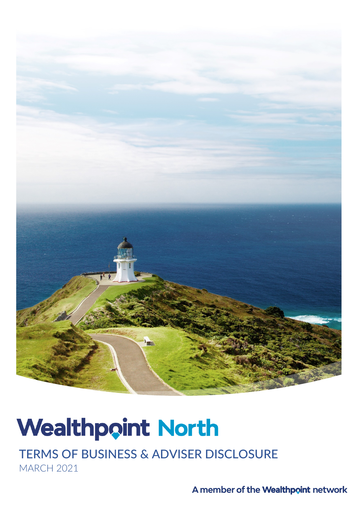

# **Wealthpoint North**

TERMS OF BUSINESS & ADVISER DISCLOSURE MARCH 2021

A member of the Wealthpoint network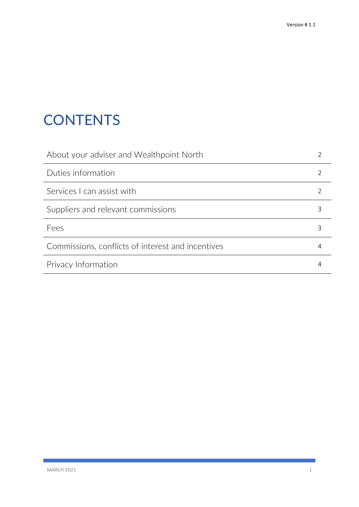## **CONTENTS**

| About your adviser and Wealthpoint North          |   |
|---------------------------------------------------|---|
| Duties information                                |   |
| Services L can assist with                        |   |
| Suppliers and relevant commissions                |   |
| Fees                                              | 3 |
| Commissions, conflicts of interest and incentives |   |
| Privacy Information                               |   |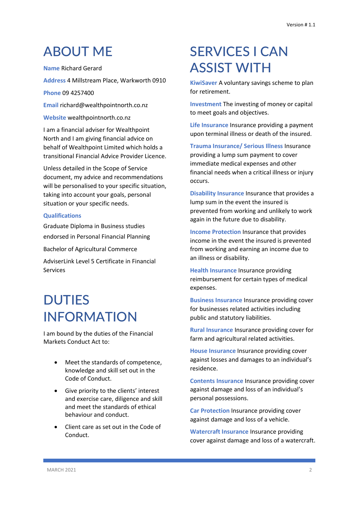### ABOUT ME

**Name** Richard Gerard

**Address** 4 Millstream Place, Warkworth 0910

**Phone** 09 4257400

**Email** richard@wealthpointnorth.co.nz

**Website** wealthpointnorth.co.nz

I am a financial adviser for Wealthpoint North and I am giving financial advice on behalf of Wealthpoint Limited which holds a transitional Financial Advice Provider Licence.

Unless detailed in the Scope of Service document, my advice and recommendations will be personalised to your specific situation, taking into account your goals, personal situation or your specific needs.

#### **Qualifications**

Graduate Diploma in Business studies endorsed in Personal Financial Planning

Bachelor of Agricultural Commerce

AdviserLink Level 5 Certificate in Financial Services

### **DUTIES** INFORMATION

I am bound by the duties of the Financial Markets Conduct Act to:

- Meet the standards of competence, knowledge and skill set out in the Code of Conduct.
- Give priority to the clients' interest and exercise care, diligence and skill and meet the standards of ethical behaviour and conduct.
- Client care as set out in the Code of Conduct.

### SERVICES I CAN ASSIST WITH

**KiwiSaver** A voluntary savings scheme to plan for retirement.

**Investment** The investing of money or capital to meet goals and objectives.

**Life Insurance** Insurance providing a payment upon terminal illness or death of the insured.

**Trauma Insurance/ Serious Illness** Insurance providing a lump sum payment to cover immediate medical expenses and other financial needs when a critical illness or injury occurs.

**Disability Insurance** Insurance that provides a lump sum in the event the insured is prevented from working and unlikely to work again in the future due to disability.

**Income Protection** Insurance that provides income in the event the insured is prevented from working and earning an income due to an illness or disability.

**Health Insurance** Insurance providing reimbursement for certain types of medical expenses.

**Business Insurance** Insurance providing cover for businesses related activities including public and statutory liabilities.

**Rural Insurance** Insurance providing cover for farm and agricultural related activities.

**House Insurance** Insurance providing cover against losses and damages to an individual's residence.

**Contents Insurance** Insurance providing cover against damage and loss of an individual's personal possessions.

**Car Protection** Insurance providing cover against damage and loss of a vehicle.

**Watercraft Insurance** Insurance providing cover against damage and loss of a watercraft.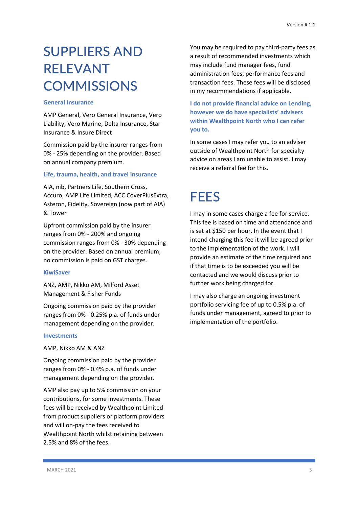### SUPPLIERS AND RELEVANT **COMMISSIONS**

#### **General Insurance**

AMP General, Vero General Insurance, Vero Liability, Vero Marine, Delta Insurance, Star Insurance & Insure Direct

Commission paid by the insurer ranges from 0% - 25% depending on the provider. Based on annual company premium.

#### **Life, trauma, health, and travel insurance**

AIA, nib, Partners Life, Southern Cross, Accuro, AMP Life Limited, ACC CoverPlusExtra, Asteron, Fidelity, Sovereign (now part of AIA) & Tower

Upfront commission paid by the insurer ranges from 0% - 200% and ongoing commission ranges from 0% - 30% depending on the provider. Based on annual premium, no commission is paid on GST charges.

#### **KiwiSaver**

ANZ, AMP, Nikko AM, Milford Asset Management & Fisher Funds

Ongoing commission paid by the provider ranges from 0% - 0.25% p.a. of funds under management depending on the provider.

#### **Investments**

AMP, Nikko AM & ANZ

Ongoing commission paid by the provider ranges from 0% - 0.4% p.a. of funds under management depending on the provider.

AMP also pay up to 5% commission on your contributions, for some investments. These fees will be received by Wealthpoint Limited from product suppliers or platform providers and will on-pay the fees received to Wealthpoint North whilst retaining between 2.5% and 8% of the fees.

You may be required to pay third-party fees as a result of recommended investments which may include fund manager fees, fund administration fees, performance fees and transaction fees. These fees will be disclosed in my recommendations if applicable.

**I do not provide financial advice on Lending, however we do have specialists' advisers within Wealthpoint North who I can refer you to.**

In some cases I may refer you to an adviser outside of Wealthpoint North for specialty advice on areas I am unable to assist. I may receive a referral fee for this.

### **FFFS**

I may in some cases charge a fee for service. This fee is based on time and attendance and is set at \$150 per hour. In the event that I intend charging this fee it will be agreed prior to the implementation of the work. I will provide an estimate of the time required and if that time is to be exceeded you will be contacted and we would discuss prior to further work being charged for.

I may also charge an ongoing investment portfolio servicing fee of up to 0.5% p.a. of funds under management, agreed to prior to implementation of the portfolio.